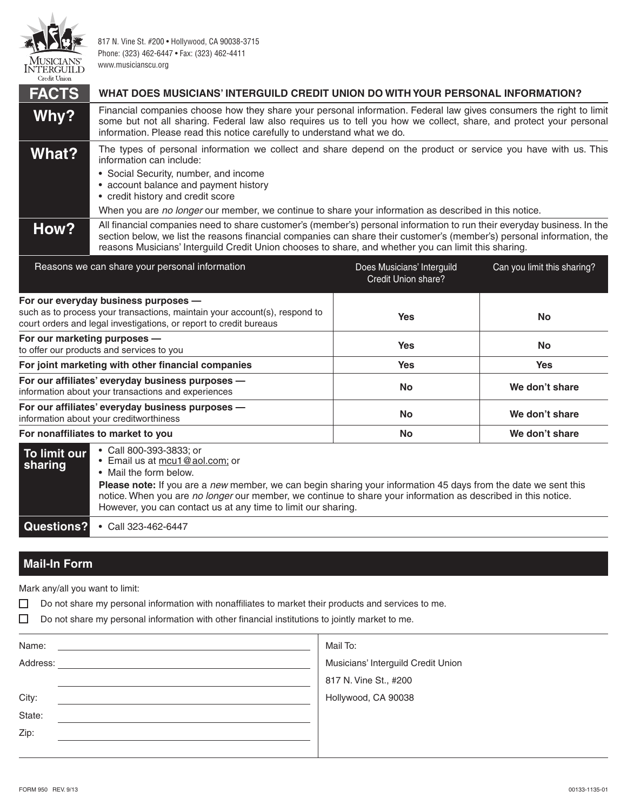

Credit Union

817 N. Vine St. #200 • Hollywood, CA 90038-3715 Phone: (323) 462-6447 • Fax: (323) 462-4411 www.musicianscu.org

| <b>FACTS</b> | WHAT DOES MUSICIANS' INTERGUILD CREDIT UNION DO WITH YOUR PERSONAL INFORMATION?                                                                                                                                                                                                                                                                                            |
|--------------|----------------------------------------------------------------------------------------------------------------------------------------------------------------------------------------------------------------------------------------------------------------------------------------------------------------------------------------------------------------------------|
| Why?         | Financial companies choose how they share your personal information. Federal law gives consumers the right to limit<br>some but not all sharing. Federal law also requires us to tell you how we collect, share, and protect your personal<br>information. Please read this notice carefully to understand what we do.                                                     |
| What?        | The types of personal information we collect and share depend on the product or service you have with us. This<br>information can include:<br>• Social Security, number, and income<br>• account balance and payment history<br>• credit history and credit score<br>When you are no longer our member, we continue to share your information as described in this notice. |
| How?         | All financial companies need to share customer's (member's) personal information to run their everyday business. In the<br>section below, we list the reasons financial companies can share their customer's (member's) personal information, the<br>reasons Musicians' Interguild Credit Union chooses to share, and whether you can limit this sharing.                  |

| Reasons we can share your personal information                                                                                                                                           | Does Musicians' Interguild<br>Credit Union share? | Can you limit this sharing? |
|------------------------------------------------------------------------------------------------------------------------------------------------------------------------------------------|---------------------------------------------------|-----------------------------|
| For our everyday business purposes -<br>such as to process your transactions, maintain your account(s), respond to<br>court orders and legal investigations, or report to credit bureaus | <b>Yes</b>                                        | <b>No</b>                   |
| For our marketing purposes -<br>to offer our products and services to you                                                                                                                | <b>Yes</b>                                        | <b>No</b>                   |
| For joint marketing with other financial companies                                                                                                                                       | <b>Yes</b>                                        | <b>Yes</b>                  |
| For our affiliates' everyday business purposes -<br>information about your transactions and experiences                                                                                  | <b>No</b>                                         | We don't share              |
| For our affiliates' everyday business purposes -<br>information about your creditworthiness                                                                                              | <b>No</b>                                         | We don't share              |
| For nonaffiliates to market to you                                                                                                                                                       | <b>No</b>                                         | We don't share              |
| • Call 800-393-3833; or<br>To limit our                                                                                                                                                  |                                                   |                             |

| l To limit our l<br>sharing | <b>UGH</b> UUU UUU UUUU, UI<br>• Email us at mcu1@aol.com; or<br>• Mail the form below.<br>Please note: If you are a new member, we can begin sharing your information 45 days from the date we sent this<br>notice. When you are no longer our member, we continue to share your information as described in this notice.<br>However, you can contact us at any time to limit our sharing. |
|-----------------------------|---------------------------------------------------------------------------------------------------------------------------------------------------------------------------------------------------------------------------------------------------------------------------------------------------------------------------------------------------------------------------------------------|
| Questions?                  | • Call 323-462-6447                                                                                                                                                                                                                                                                                                                                                                         |

## **Mail-In Form**

Mark any/all you want to limit:

 $\Box$ Do not share my personal information with nonaffiliates to market their products and services to me.

 $\Box$ Do not share my personal information with other financial institutions to jointly market to me.

| Name:    | Mail To:                           |
|----------|------------------------------------|
| Address: | Musicians' Interguild Credit Union |
|          | 817 N. Vine St., #200              |
| City:    | Hollywood, CA 90038                |
| State:   |                                    |
| Zip:     |                                    |
|          |                                    |